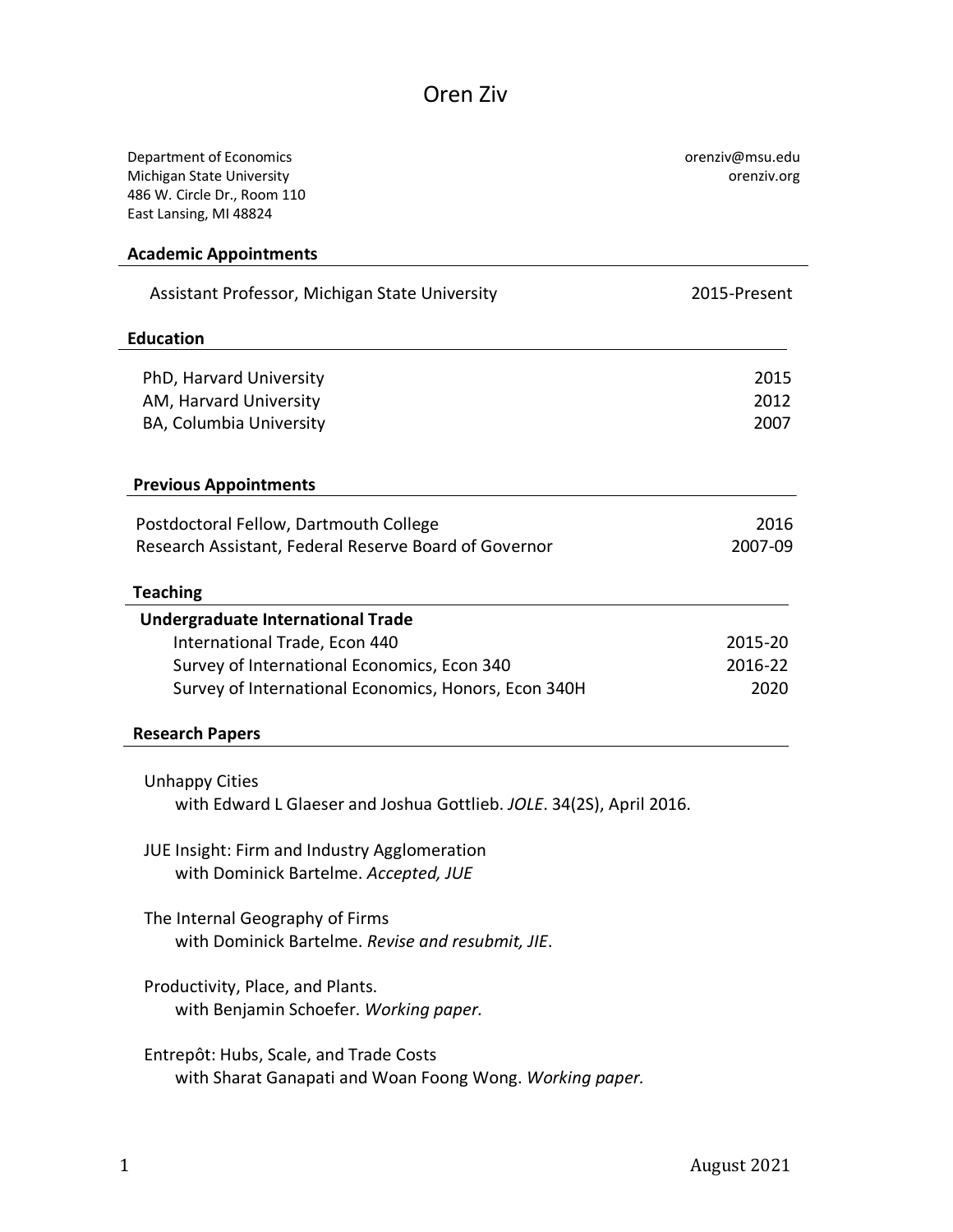## Oren Ziv

| Department of Economics<br>Michigan State University<br>486 W. Circle Dr., Room 110<br>East Lansing, MI 48824 | orenziv@msu.edu<br>orenziv.org |
|---------------------------------------------------------------------------------------------------------------|--------------------------------|
| <b>Academic Appointments</b>                                                                                  |                                |
| Assistant Professor, Michigan State University                                                                | 2015-Present                   |
| <b>Education</b>                                                                                              |                                |
| PhD, Harvard University                                                                                       | 2015                           |
| AM, Harvard University                                                                                        | 2012                           |
| BA, Columbia University                                                                                       | 2007                           |
| <b>Previous Appointments</b>                                                                                  |                                |
| Postdoctoral Fellow, Dartmouth College                                                                        | 2016                           |
| Research Assistant, Federal Reserve Board of Governor                                                         | 2007-09                        |
| <b>Teaching</b>                                                                                               |                                |
| <b>Undergraduate International Trade</b>                                                                      |                                |
| International Trade, Econ 440                                                                                 | 2015-20                        |
| Survey of International Economics, Econ 340                                                                   | 2016-22                        |
| Survey of International Economics, Honors, Econ 340H                                                          | 2020                           |
| <b>Research Papers</b>                                                                                        |                                |
| <b>Unhappy Cities</b>                                                                                         |                                |
| with Edward L Glaeser and Joshua Gottlieb. JOLE. 34(2S), April 2016.                                          |                                |
| JUE Insight: Firm and Industry Agglomeration                                                                  |                                |
| with Dominick Bartelme. Accepted, JUE                                                                         |                                |
| The Internal Geography of Firms<br>with Dominick Bartelme. Revise and resubmit, JIE.                          |                                |
| Productivity, Place, and Plants.<br>with Benjamin Schoefer. Working paper.                                    |                                |
| Entrepôt: Hubs, Scale, and Trade Costs<br>with Sharat Ganapati and Woan Foong Wong. Working paper.            |                                |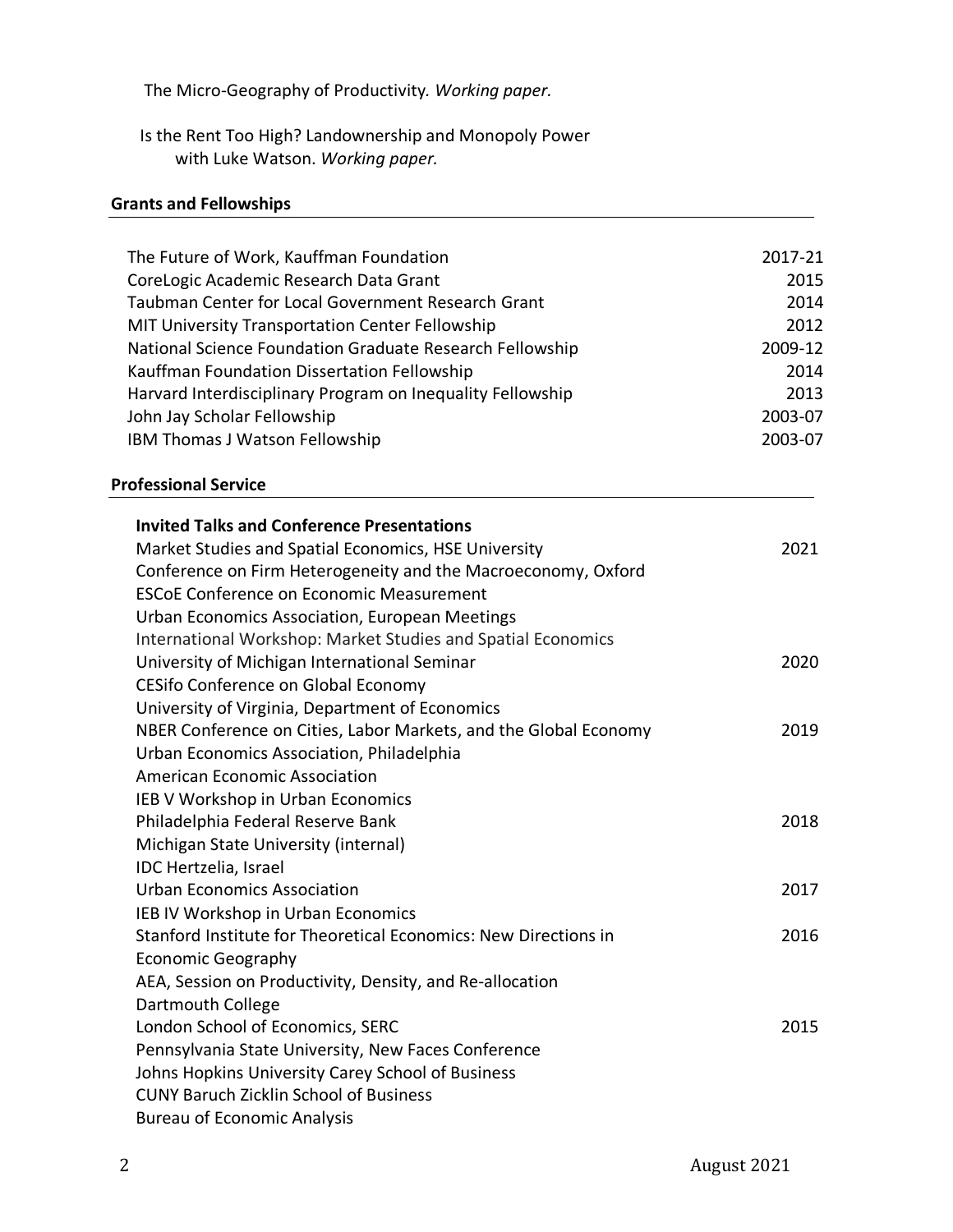The Micro-Geography of Productivity*. Working paper.*

Is the Rent Too High? Landownership and Monopoly Power with Luke Watson. *Working paper.*

## **Grants and Fellowships**

| The Future of Work, Kauffman Foundation                          | 2017-21 |
|------------------------------------------------------------------|---------|
| CoreLogic Academic Research Data Grant                           | 2015    |
| Taubman Center for Local Government Research Grant               | 2014    |
| MIT University Transportation Center Fellowship                  | 2012    |
| National Science Foundation Graduate Research Fellowship         | 2009-12 |
| Kauffman Foundation Dissertation Fellowship                      | 2014    |
| Harvard Interdisciplinary Program on Inequality Fellowship       | 2013    |
| John Jay Scholar Fellowship                                      | 2003-07 |
| IBM Thomas J Watson Fellowship                                   | 2003-07 |
| <b>Professional Service</b>                                      |         |
| <b>Invited Talks and Conference Presentations</b>                |         |
| Market Studies and Spatial Economics, HSE University             | 2021    |
| Conference on Firm Heterogeneity and the Macroeconomy, Oxford    |         |
| <b>ESCOE Conference on Economic Measurement</b>                  |         |
| Urban Economics Association, European Meetings                   |         |
| International Workshop: Market Studies and Spatial Economics     |         |
| University of Michigan International Seminar                     | 2020    |
| CESifo Conference on Global Economy                              |         |
| University of Virginia, Department of Economics                  |         |
| NBER Conference on Cities, Labor Markets, and the Global Economy | 2019    |
| Urban Economics Association, Philadelphia                        |         |
| <b>American Economic Association</b>                             |         |
| IEB V Workshop in Urban Economics                                |         |
| Philadelphia Federal Reserve Bank                                | 2018    |
| Michigan State University (internal)                             |         |
| IDC Hertzelia, Israel                                            |         |
| <b>Urban Economics Association</b>                               | 2017    |
| IEB IV Workshop in Urban Economics                               |         |
| Stanford Institute for Theoretical Economics: New Directions in  | 2016    |
| <b>Economic Geography</b>                                        |         |
| AEA, Session on Productivity, Density, and Re-allocation         |         |
| Dartmouth College                                                |         |
| London School of Economics, SERC                                 | 2015    |
| Pennsylvania State University, New Faces Conference              |         |
| Johns Hopkins University Carey School of Business                |         |
| <b>CUNY Baruch Zicklin School of Business</b>                    |         |
| <b>Bureau of Economic Analysis</b>                               |         |